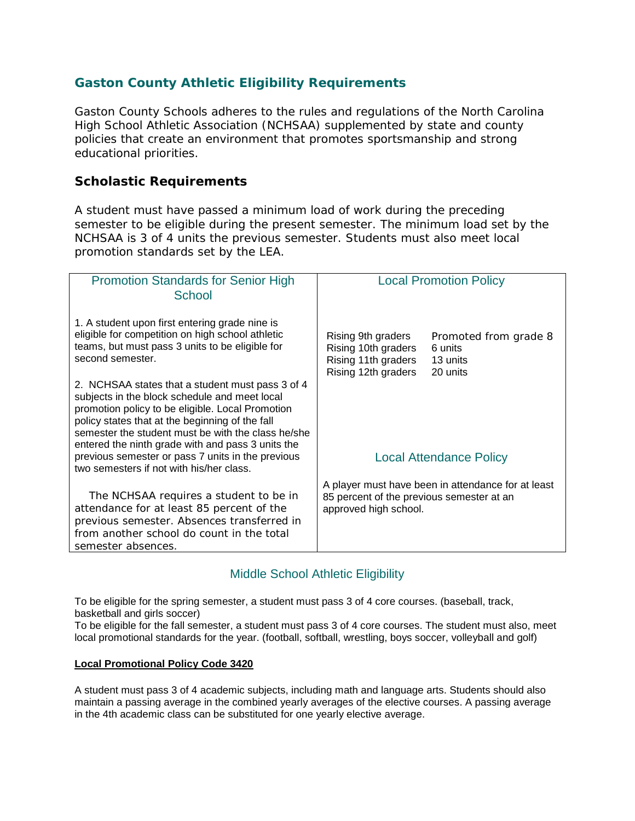# **Gaston County Athletic Eligibility Requirements**

Gaston County Schools adheres to the rules and regulations of the North Carolina High School Athletic Association (NCHSAA) supplemented by state and county policies that create an environment that promotes sportsmanship and strong educational priorities.

### **Scholastic Requirements**

A student must have passed a minimum load of work during the preceding semester to be eligible during the present semester. The minimum load set by the NCHSAA is 3 of 4 units the previous semester. Students must also meet local promotion standards set by the LEA.

| <b>Promotion Standards for Senior High</b><br>School                                                                                                                                                                                                                                                                | <b>Local Promotion Policy</b>                                                                                            |                                                          |
|---------------------------------------------------------------------------------------------------------------------------------------------------------------------------------------------------------------------------------------------------------------------------------------------------------------------|--------------------------------------------------------------------------------------------------------------------------|----------------------------------------------------------|
| 1. A student upon first entering grade nine is<br>eligible for competition on high school athletic<br>teams, but must pass 3 units to be eligible for<br>second semester.                                                                                                                                           | Rising 9th graders<br>Rising 10th graders<br>Rising 11th graders<br>Rising 12th graders                                  | Promoted from grade 8<br>6 units<br>13 units<br>20 units |
| 2. NCHSAA states that a student must pass 3 of 4<br>subjects in the block schedule and meet local<br>promotion policy to be eligible. Local Promotion<br>policy states that at the beginning of the fall<br>semester the student must be with the class he/she<br>entered the ninth grade with and pass 3 units the |                                                                                                                          |                                                          |
| previous semester or pass 7 units in the previous<br>two semesters if not with his/her class.                                                                                                                                                                                                                       |                                                                                                                          | Local Attendance Policy                                  |
| The NCHSAA requires a student to be in<br>attendance for at least 85 percent of the<br>previous semester. Absences transferred in<br>from another school do count in the total<br>semester absences.                                                                                                                | A player must have been in attendance for at least<br>85 percent of the previous semester at an<br>approved high school. |                                                          |

## Middle School Athletic Eligibility

To be eligible for the spring semester, a student must pass 3 of 4 core courses. (baseball, track, basketball and girls soccer)

To be eligible for the fall semester, a student must pass 3 of 4 core courses. The student must also, meet local promotional standards for the year. (football, softball, wrestling, boys soccer, volleyball and golf)

#### **Local Promotional Policy Code 3420**

A student must pass 3 of 4 academic subjects, including math and language arts. Students should also maintain a passing average in the combined yearly averages of the elective courses. A passing average in the 4th academic class can be substituted for one yearly elective average.